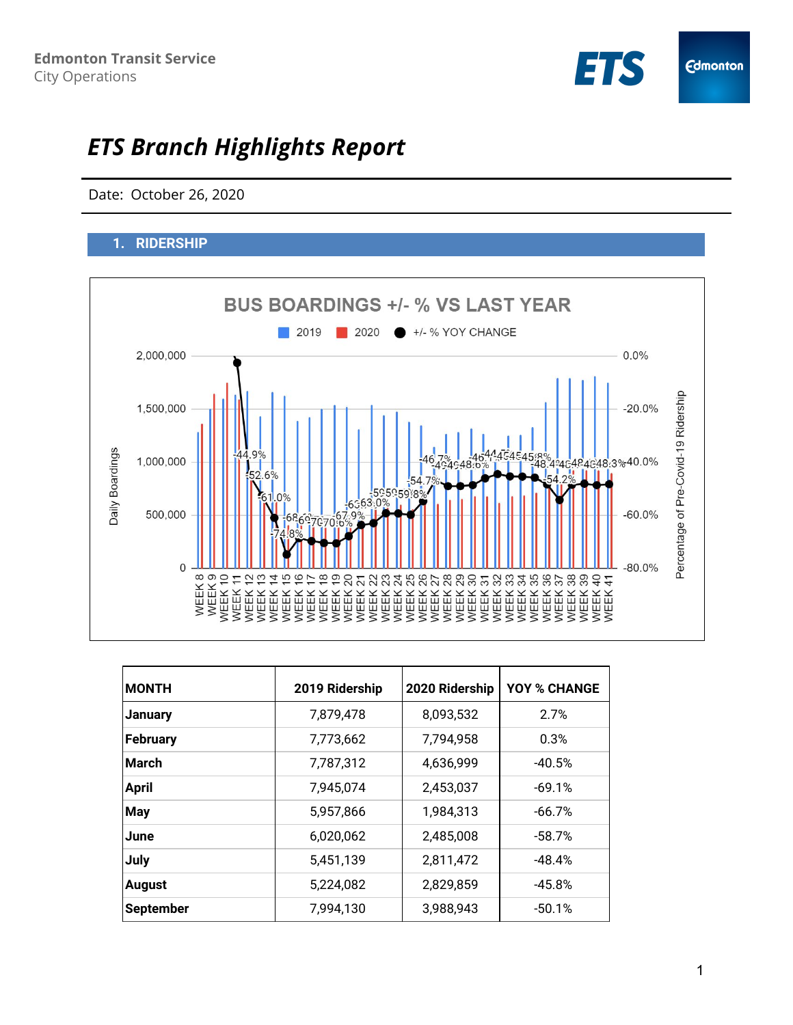

# *ETS Branch Highlights Report*

Date: October 26, 2020

# **1. RIDERSHIP**



| <b>MONTH</b>     | 2019 Ridership | 2020 Ridership | <b>YOY % CHANGE</b> |
|------------------|----------------|----------------|---------------------|
| <b>January</b>   | 7,879,478      | 8,093,532      | 2.7%                |
| February         | 7,773,662      | 7,794,958      | 0.3%                |
| <b>March</b>     | 7,787,312      | 4,636,999      | $-40.5%$            |
| <b>April</b>     | 7,945,074      | 2,453,037      | $-69.1%$            |
| <b>May</b>       | 5,957,866      | 1,984,313      | $-66.7%$            |
| <b>June</b>      | 6,020,062      | 2,485,008      | $-58.7%$            |
| July             | 5,451,139      | 2,811,472      | $-48.4%$            |
| <b>August</b>    | 5,224,082      | 2,829,859      | $-45.8%$            |
| <b>September</b> | 7,994,130      | 3,988,943      | $-50.1%$            |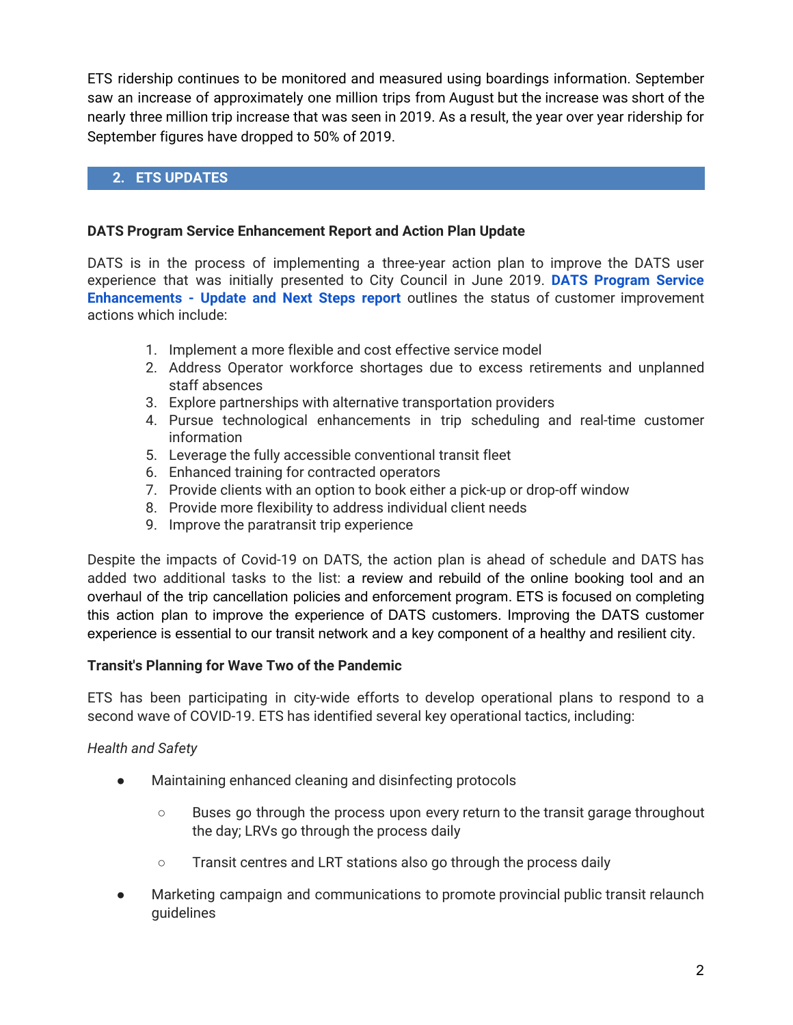ETS ridership continues to be monitored and measured using boardings information. September saw an increase of approximately one million trips from August but the increase was short of the nearly three million trip increase that was seen in 2019. As a result, the year over year ridership for September figures have dropped to 50% of 2019.

# **2. ETS UPDATES**

#### **DATS Program Service Enhancement Report and Action Plan Update**

DATS is in the process of implementing a three-year action plan to improve the DATS user experience that was initially presented to City Council in June 2019. **DATS [Program](https://pub-edmonton.escribemeetings.com/filestream.ashx?DocumentId=64931) Service [Enhancements](https://pub-edmonton.escribemeetings.com/filestream.ashx?DocumentId=64931) - Update and Next Steps [report](https://pub-edmonton.escribemeetings.com/filestream.ashx?DocumentId=64931)** outlines the status of customer improvement actions which include:

- 1. Implement a more flexible and cost effective service model
- 2. Address Operator workforce shortages due to excess retirements and unplanned staff absences
- 3. Explore partnerships with alternative transportation providers
- 4. Pursue technological enhancements in trip scheduling and real-time customer information
- 5. Leverage the fully accessible conventional transit fleet
- 6. Enhanced training for contracted operators
- 7. Provide clients with an option to book either a pick-up or drop-off window
- 8. Provide more flexibility to address individual client needs
- 9. Improve the paratransit trip experience

Despite the impacts of Covid-19 on DATS, the action plan is ahead of schedule and DATS has added two additional tasks to the list: a review and rebuild of the online booking tool and an overhaul of the trip cancellation policies and enforcement program. ETS is focused on completing this action plan to improve the experience of DATS customers. Improving the DATS customer experience is essential to our transit network and a key component of a healthy and resilient city.

#### **Transit's Planning for Wave Two of the Pandemic**

ETS has been participating in city-wide efforts to develop operational plans to respond to a second wave of COVID-19. ETS has identified several key operational tactics, including:

## *Health and Safety*

- Maintaining enhanced cleaning and disinfecting protocols
	- Buses go through the process upon every return to the transit garage throughout the day; LRVs go through the process daily
	- Transit centres and LRT stations also go through the process daily
- Marketing campaign and communications to promote provincial public transit relaunch guidelines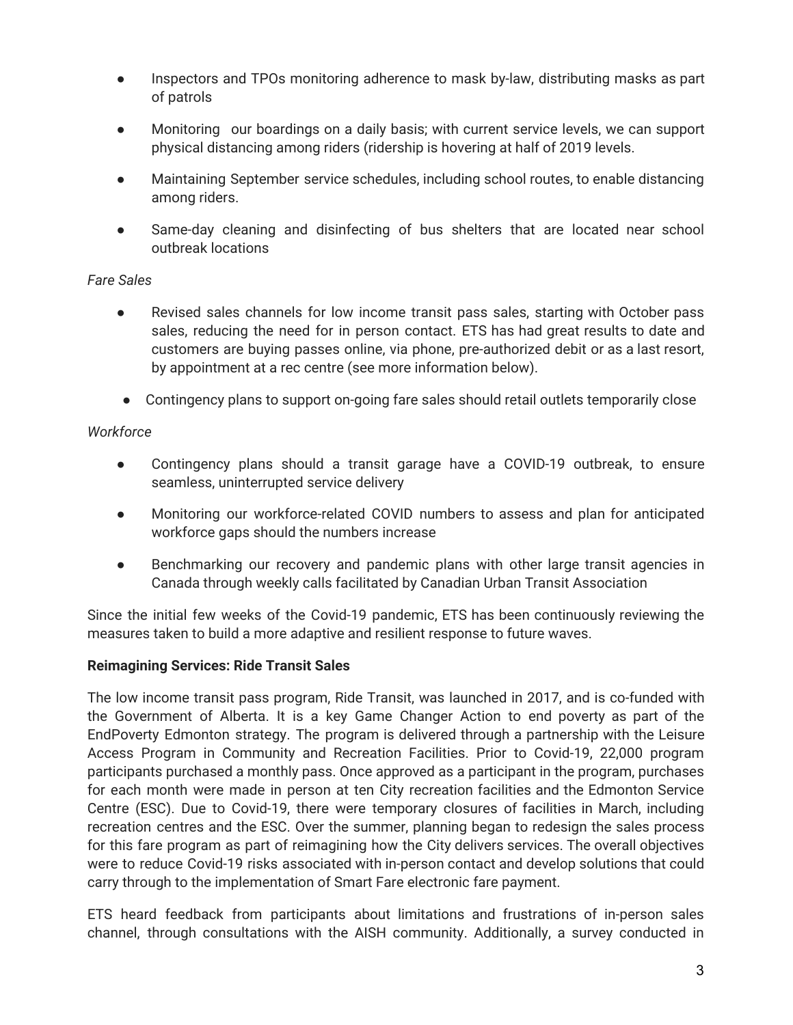- Inspectors and TPOs monitoring adherence to mask by-law, distributing masks as part of patrols
- Monitoring our boardings on a daily basis; with current service levels, we can support physical distancing among riders (ridership is hovering at half of 2019 levels.
- Maintaining September service schedules, including school routes, to enable distancing among riders.
- Same-day cleaning and disinfecting of bus shelters that are located near school outbreak locations

## *Fare Sales*

- Revised sales channels for low income transit pass sales, starting with October pass sales, reducing the need for in person contact. ETS has had great results to date and customers are buying passes online, via phone, pre-authorized debit or as a last resort, by appointment at a rec centre (see more information below).
- Contingency plans to support on-going fare sales should retail outlets temporarily close

## *Workforce*

- Contingency plans should a transit garage have a COVID-19 outbreak, to ensure seamless, uninterrupted service delivery
- Monitoring our workforce-related COVID numbers to assess and plan for anticipated workforce gaps should the numbers increase
- Benchmarking our recovery and pandemic plans with other large transit agencies in Canada through weekly calls facilitated by Canadian Urban Transit Association

Since the initial few weeks of the Covid-19 pandemic, ETS has been continuously reviewing the measures taken to build a more adaptive and resilient response to future waves.

## **Reimagining Services: Ride Transit Sales**

The low income transit pass program, Ride Transit, was launched in 2017, and is co-funded with the Government of Alberta. It is a key Game Changer Action to end poverty as part of the EndPoverty Edmonton strategy. The program is delivered through a partnership with the Leisure Access Program in Community and Recreation Facilities. Prior to Covid-19, 22,000 program participants purchased a monthly pass. Once approved as a participant in the program, purchases for each month were made in person at ten City recreation facilities and the Edmonton Service Centre (ESC). Due to Covid-19, there were temporary closures of facilities in March, including recreation centres and the ESC. Over the summer, planning began to redesign the sales process for this fare program as part of reimagining how the City delivers services. The overall objectives were to reduce Covid-19 risks associated with in-person contact and develop solutions that could carry through to the implementation of Smart Fare electronic fare payment.

ETS heard feedback from participants about limitations and frustrations of in-person sales channel, through consultations with the AISH community. Additionally, a survey conducted in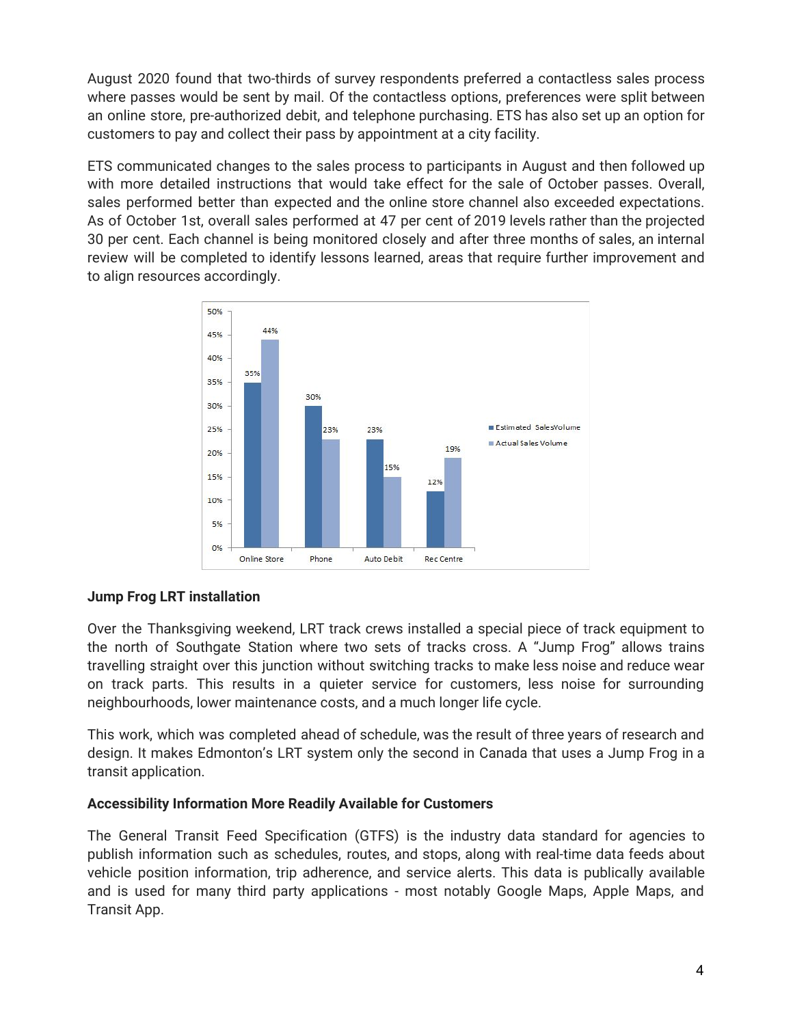August 2020 found that two-thirds of survey respondents preferred a contactless sales process where passes would be sent by mail. Of the contactless options, preferences were split between an online store, pre-authorized debit, and telephone purchasing. ETS has also set up an option for customers to pay and collect their pass by appointment at a city facility.

ETS communicated changes to the sales process to participants in August and then followed up with more detailed instructions that would take effect for the sale of October passes. Overall, sales performed better than expected and the online store channel also exceeded expectations. As of October 1st, overall sales performed at 47 per cent of 2019 levels rather than the projected 30 per cent. Each channel is being monitored closely and after three months of sales, an internal review will be completed to identify lessons learned, areas that require further improvement and to align resources accordingly.



## **Jump Frog LRT installation**

Over the Thanksgiving weekend, LRT track crews installed a special piece of track equipment to the north of Southgate Station where two sets of tracks cross. A "Jump Frog" allows trains travelling straight over this junction without switching tracks to make less noise and reduce wear on track parts. This results in a quieter service for customers, less noise for surrounding neighbourhoods, lower maintenance costs, and a much longer life cycle.

This work, which was completed ahead of schedule, was the result of three years of research and design. It makes Edmonton's LRT system only the second in Canada that uses a Jump Frog in a transit application.

## **Accessibility Information More Readily Available for Customers**

The General Transit Feed Specification (GTFS) is the industry data standard for agencies to publish information such as schedules, routes, and stops, along with real-time data feeds about vehicle position information, trip adherence, and service alerts. This data is publically available and is used for many third party applications - most notably Google Maps, Apple Maps, and Transit App.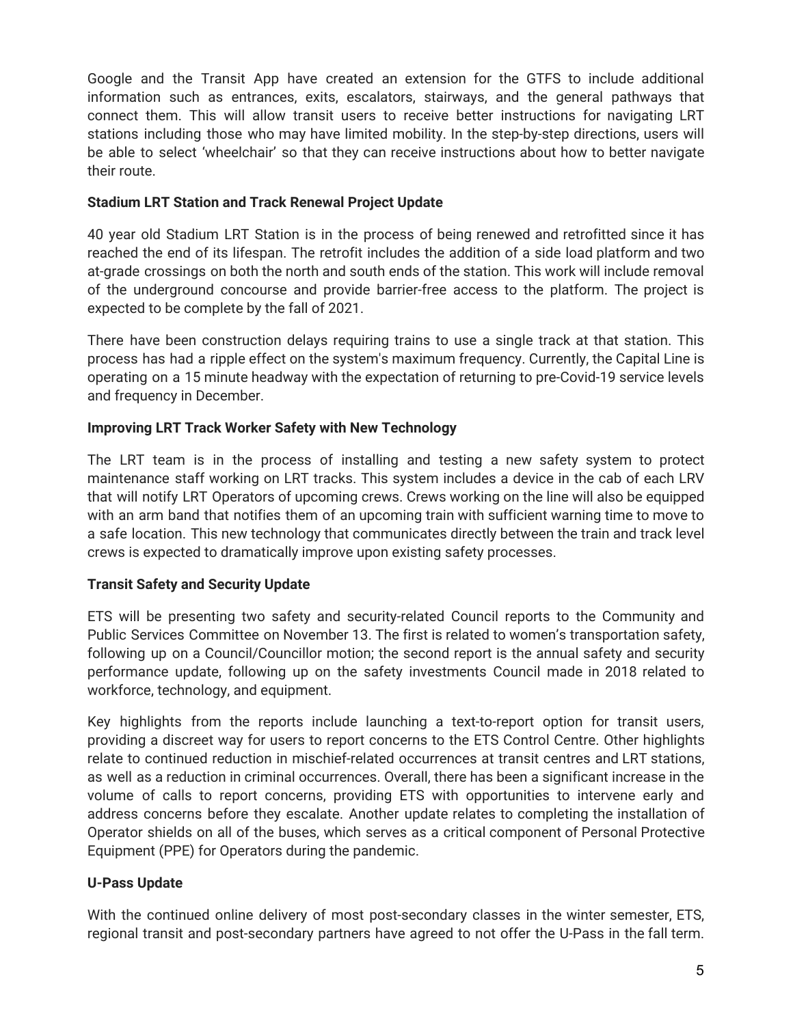Google and the Transit App have created an extension for the GTFS to include additional information such as entrances, exits, escalators, stairways, and the general pathways that connect them. This will allow transit users to receive better instructions for navigating LRT stations including those who may have limited mobility. In the step-by-step directions, users will be able to select 'wheelchair' so that they can receive instructions about how to better navigate their route.

## **Stadium LRT Station and Track Renewal Project Update**

40 year old Stadium LRT Station is in the process of being renewed and retrofitted since it has reached the end of its lifespan. The retrofit includes the addition of a side load platform and two at-grade crossings on both the north and south ends of the station. This work will include removal of the underground concourse and provide barrier-free access to the platform. The project is expected to be complete by the fall of 2021.

There have been construction delays requiring trains to use a single track at that station. This process has had a ripple effect on the system's maximum frequency. Currently, the Capital Line is operating on a 15 minute headway with the expectation of returning to pre-Covid-19 service levels and frequency in December.

## **Improving LRT Track Worker Safety with New Technology**

The LRT team is in the process of installing and testing a new safety system to protect maintenance staff working on LRT tracks. This system includes a device in the cab of each LRV that will notify LRT Operators of upcoming crews. Crews working on the line will also be equipped with an arm band that notifies them of an upcoming train with sufficient warning time to move to a safe location. This new technology that communicates directly between the train and track level crews is expected to dramatically improve upon existing safety processes.

# **Transit Safety and Security Update**

ETS will be presenting two safety and security-related Council reports to the Community and Public Services Committee on November 13. The first is related to women's transportation safety, following up on a Council/Councillor motion; the second report is the annual safety and security performance update, following up on the safety investments Council made in 2018 related to workforce, technology, and equipment.

Key highlights from the reports include launching a text-to-report option for transit users, providing a discreet way for users to report concerns to the ETS Control Centre. Other highlights relate to continued reduction in mischief-related occurrences at transit centres and LRT stations, as well as a reduction in criminal occurrences. Overall, there has been a significant increase in the volume of calls to report concerns, providing ETS with opportunities to intervene early and address concerns before they escalate. Another update relates to completing the installation of Operator shields on all of the buses, which serves as a critical component of Personal Protective Equipment (PPE) for Operators during the pandemic.

# **U-Pass Update**

With the continued online delivery of most post-secondary classes in the winter semester, ETS, regional transit and post-secondary partners have agreed to not offer the U-Pass in the fall term.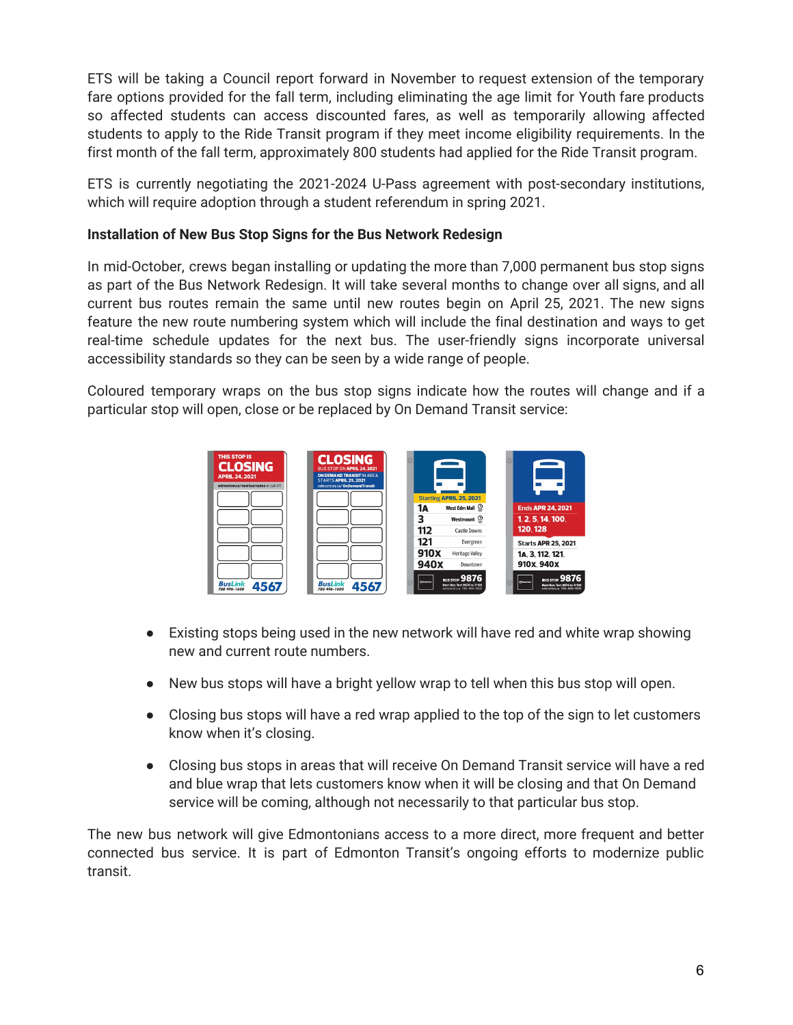ETS will be taking a Council report forward in November to request extension of the temporary fare options provided for the fall term, including eliminating the age limit for Youth fare products so affected students can access discounted fares, as well as temporarily allowing affected students to apply to the Ride Transit program if they meet income eligibility requirements. In the first month of the fall term, approximately 800 students had applied for the Ride Transit program.

ETS is currently negotiating the 2021-2024 U-Pass agreement with post-secondary institutions, which will require adoption through a student referendum in spring 2021.

## **Installation of New Bus Stop Signs for the Bus Network Redesign**

In mid-October, crews began installing or updating the more than 7,000 permanent bus stop signs as part of the Bus Network Redesign. It will take several months to change over all signs, and all current bus routes remain the same until new routes begin on April 25, 2021. The new signs feature the new route numbering system which will include the final destination and ways to get real-time schedule updates for the next bus. The user-friendly signs incorporate universal accessibility standards so they can be seen by a wide range of people.

Coloured temporary wraps on the bus stop signs indicate how the routes will change and if a particular stop will open, close or be replaced by On Demand Transit service:



- Existing stops being used in the new network will have red and white wrap showing new and current route numbers.
- New bus stops will have a bright yellow wrap to tell when this bus stop will open.
- Closing bus stops will have a red wrap applied to the top of the sign to let customers know when it's closing.
- Closing bus stops in areas that will receive On Demand Transit service will have a red and blue wrap that lets customers know when it will be closing and that On Demand service will be coming, although not necessarily to that particular bus stop.

The new bus network will give Edmontonians access to a more direct, more frequent and better connected bus service. It is part of Edmonton Transit's ongoing efforts to modernize public transit.